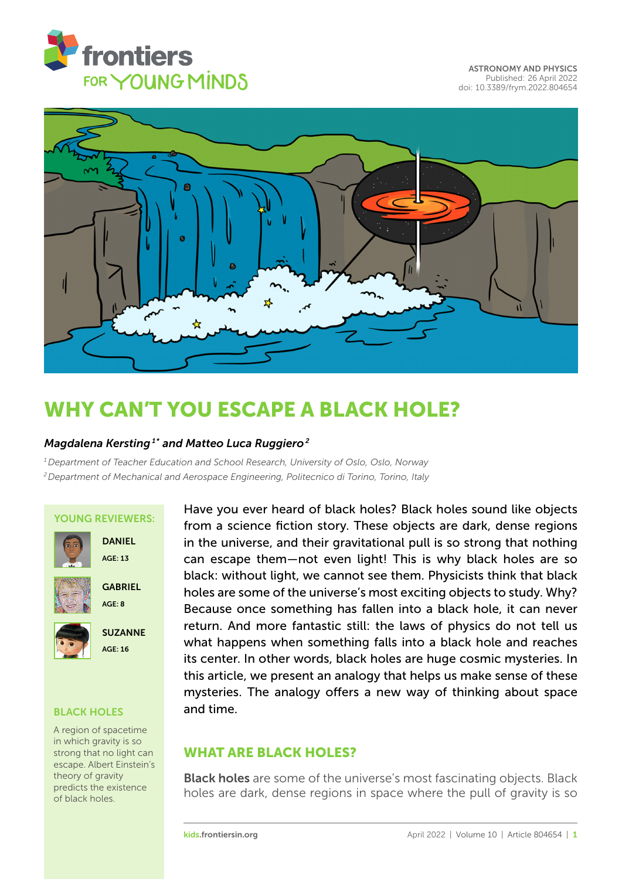



# [WHY CAN'T YOU ESCAPE A BLACK HOLE?](https://kids.frontiersin.org/article/10.3389/frym.2022.804654)

# *Magdalena Kersting 1\* and Matteo Luca Ruggiero <sup>2</sup>*

*<sup>1</sup>Department of Teacher Education and School Research, University of Oslo, Oslo, Norway <sup>2</sup>Department of Mechanical and Aerospace Engineering, Politecnico di Torino, Torino, Italy*

### YOUNG REVIEWERS:



 $AGF: 13$ 

DANIEL



**GABRIEL** AGE: 8



SUZANNE AGE: 16

### BLACK HOLES

A region of spacetime in which gravity is so strong that no light can escape. Albert Einstein's theory of gravity predicts the existence

Have you ever heard of black holes? Black holes sound like objects from a science fiction story. These objects are dark, dense regions in the universe, and their gravitational pull is so strong that nothing can escape them—not even light! This is why black holes are so black: without light, we cannot see them. Physicists think that black holes are some of the universe's most exciting objects to study. Why? Because once something has fallen into a black hole, it can never return. And more fantastic still: the laws of physics do not tell us what happens when something falls into a black hole and reaches its center. In other words, black holes are huge cosmic mysteries. In this article, we present an analogy that helps us make sense of these mysteries. The analogy offers a new way of thinking about space and time.

# WHAT ARE BLACK HOLES?

**Black holes** are some of the universe's most fascinating objects. Black predicts the existence holes are dark, dense regions in space where the pull of gravity is so of black holes.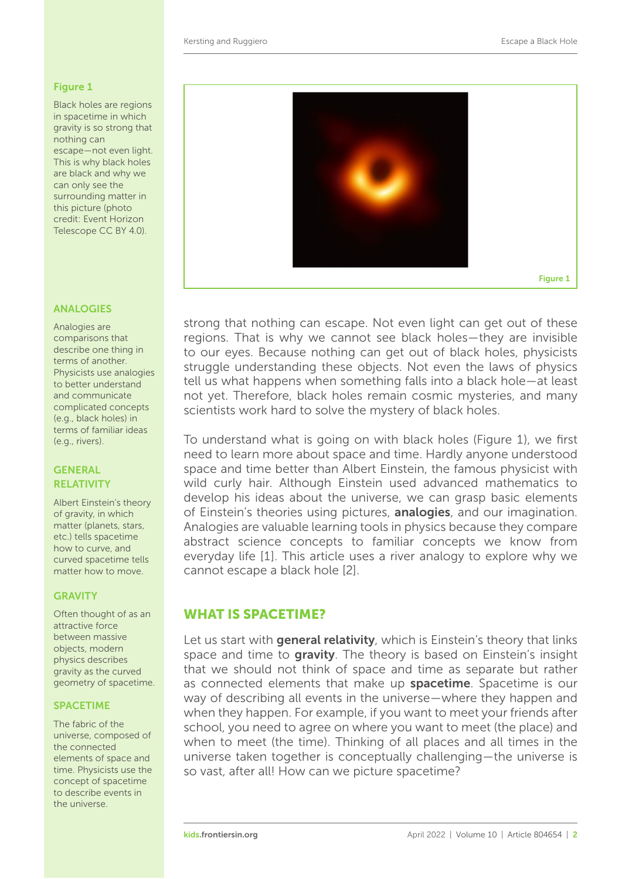#### <span id="page-1-0"></span>Figure 1

Black holes are regions in spacetime in which gravity is so strong that nothing can escape—not even light. This is why black holes are black and why we can only see the surrounding matter in this picture (photo credit: Event Horizon Telescope CC BY 4.0).

#### ANALOGIES

Analogies are comparisons that describe one thing in terms of another. Physicists use analogies to better understand and communicate complicated concepts (e.g., black holes) in terms of familiar ideas (e.g., rivers).

### **GENERAL RELATIVITY**

Albert Einstein's theory of gravity, in which matter (planets, stars, etc.) tells spacetime how to curve, and curved spacetime tells matter how to move.

#### **GRAVITY**

Often thought of as an attractive force between massive objects, modern physics describes gravity as the curved geometry of spacetime.

#### **SPACETIME**

The fabric of the universe, composed of the connected elements of space and time. Physicists use the concept of spacetime to describe events in the universe.



strong that nothing can escape. Not even light can get out of these regions. That is why we cannot see black holes—they are invisible to our eyes. Because nothing can get out of black holes, physicists struggle understanding these objects. Not even the laws of physics tell us what happens when something falls into a black hole—at least not yet. Therefore, black holes remain cosmic mysteries, and many scientists work hard to solve the mystery of black holes.

To understand what is going on with black holes [\(Figure 1\)](#page-1-0), we first need to learn more about space and time. Hardly anyone understood space and time better than Albert Einstein, the famous physicist with wild curly hair. Although Einstein used advanced mathematics to develop his ideas about the universe, we can grasp basic elements of Einstein's theories using pictures, **analogies**, and our imagination. Analogies are valuable learning tools in physics because they compare abstract science concepts to familiar concepts we know from everyday life [\[1\]](#page-5-0). This article uses a river analogy to explore why we cannot escape a black hole [\[2\]](#page-5-1).

# WHAT IS SPACETIME?

Let us start with general relativity, which is Einstein's theory that links space and time to gravity. The theory is based on Einstein's insight that we should not think of space and time as separate but rather as connected elements that make up **spacetime**. Spacetime is our way of describing all events in the universe—where they happen and when they happen. For example, if you want to meet your friends after school, you need to agree on where you want to meet (the place) and when to meet (the time). Thinking of all places and all times in the universe taken together is conceptually challenging—the universe is so vast, after all! How can we picture spacetime?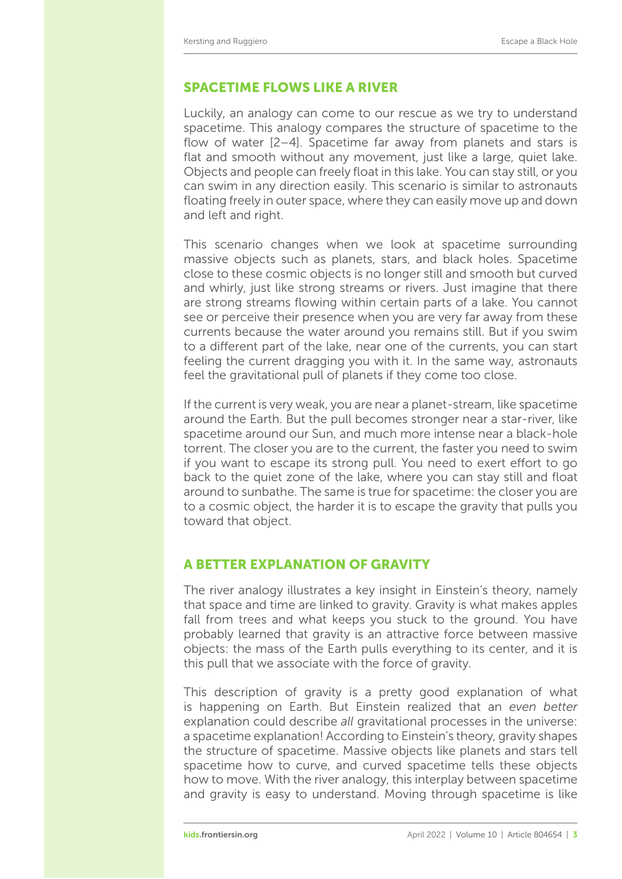### SPACETIME FLOWS LIKE A RIVER

Luckily, an analogy can come to our rescue as we try to understand spacetime. This analogy compares the structure of spacetime to the flow of water [\[2](#page-5-1)[–4\]](#page-5-2). Spacetime far away from planets and stars is flat and smooth without any movement, just like a large, quiet lake. Objects and people can freely float in this lake. You can stay still, or you can swim in any direction easily. This scenario is similar to astronauts floating freely in outer space, where they can easily move up and down and left and right.

This scenario changes when we look at spacetime surrounding massive objects such as planets, stars, and black holes. Spacetime close to these cosmic objects is no longer still and smooth but curved and whirly, just like strong streams or rivers. Just imagine that there are strong streams flowing within certain parts of a lake. You cannot see or perceive their presence when you are very far away from these currents because the water around you remains still. But if you swim to a different part of the lake, near one of the currents, you can start feeling the current dragging you with it. In the same way, astronauts feel the gravitational pull of planets if they come too close.

If the current is very weak, you are near a planet-stream, like spacetime around the Earth. But the pull becomes stronger near a star-river, like spacetime around our Sun, and much more intense near a black-hole torrent. The closer you are to the current, the faster you need to swim if you want to escape its strong pull. You need to exert effort to go back to the quiet zone of the lake, where you can stay still and float around to sunbathe. The same is true for spacetime: the closer you are to a cosmic object, the harder it is to escape the gravity that pulls you toward that object.

# A BETTER EXPLANATION OF GRAVITY

The river analogy illustrates a key insight in Einstein's theory, namely that space and time are linked to gravity. Gravity is what makes apples fall from trees and what keeps you stuck to the ground. You have probably learned that gravity is an attractive force between massive objects: the mass of the Earth pulls everything to its center, and it is this pull that we associate with the force of gravity.

This description of gravity is a pretty good explanation of what is happening on Earth. But Einstein realized that an *even better* explanation could describe *all* gravitational processes in the universe: a spacetime explanation! According to Einstein's theory, gravity shapes the structure of spacetime. Massive objects like planets and stars tell spacetime how to curve, and curved spacetime tells these objects how to move. With the river analogy, this interplay between spacetime and gravity is easy to understand. Moving through spacetime is like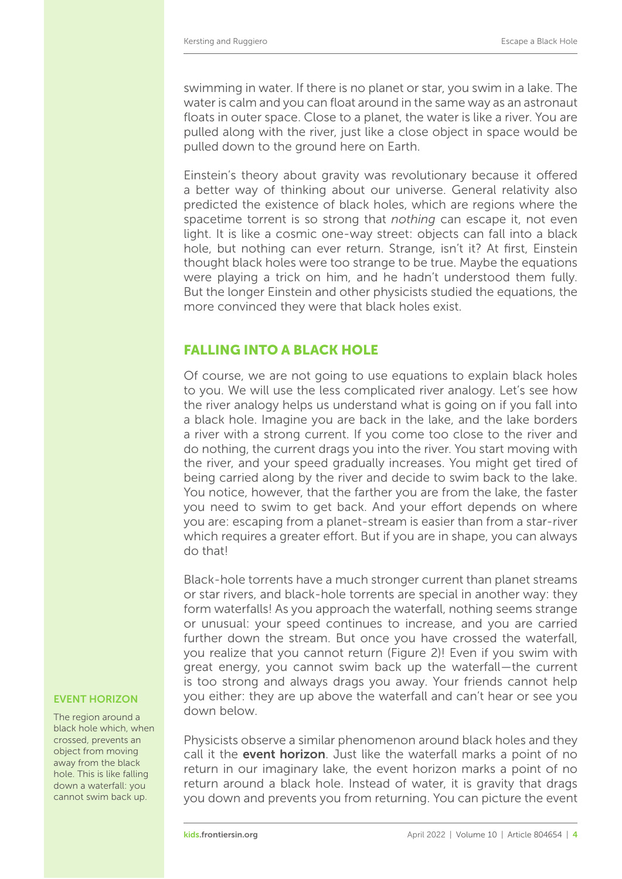swimming in water. If there is no planet or star, you swim in a lake. The water is calm and you can float around in the same way as an astronaut floats in outer space. Close to a planet, the water is like a river. You are pulled along with the river, just like a close object in space would be pulled down to the ground here on Earth.

Einstein's theory about gravity was revolutionary because it offered a better way of thinking about our universe. General relativity also predicted the existence of black holes, which are regions where the spacetime torrent is so strong that *nothing* can escape it, not even light. It is like a cosmic one-way street: objects can fall into a black hole, but nothing can ever return. Strange, isn't it? At first, Einstein thought black holes were too strange to be true. Maybe the equations were playing a trick on him, and he hadn't understood them fully. But the longer Einstein and other physicists studied the equations, the more convinced they were that black holes exist.

# FALLING INTO A BLACK HOLE

Of course, we are not going to use equations to explain black holes to you. We will use the less complicated river analogy. Let's see how the river analogy helps us understand what is going on if you fall into a black hole. Imagine you are back in the lake, and the lake borders a river with a strong current. If you come too close to the river and do nothing, the current drags you into the river. You start moving with the river, and your speed gradually increases. You might get tired of being carried along by the river and decide to swim back to the lake. You notice, however, that the farther you are from the lake, the faster you need to swim to get back. And your effort depends on where you are: escaping from a planet-stream is easier than from a star-river which requires a greater effort. But if you are in shape, you can always do that!

Black-hole torrents have a much stronger current than planet streams or star rivers, and black-hole torrents are special in another way: they form waterfalls! As you approach the waterfall, nothing seems strange or unusual: your speed continues to increase, and you are carried further down the stream. But once you have crossed the waterfall, you realize that you cannot return [\(Figure 2\)](#page-4-0)! Even if you swim with great energy, you cannot swim back up the waterfall—the current is too strong and always drags you away. Your friends cannot help you either: they are up above the waterfall and can't hear or see you down below.

Physicists observe a similar phenomenon around black holes and they call it the **event horizon**. Just like the waterfall marks a point of no return in our imaginary lake, the event horizon marks a point of no return around a black hole. Instead of water, it is gravity that drags you down and prevents you from returning. You can picture the event

#### EVENT HORIZON

The region around a black hole which, when crossed, prevents an object from moving away from the black hole. This is like falling down a waterfall: you cannot swim back up.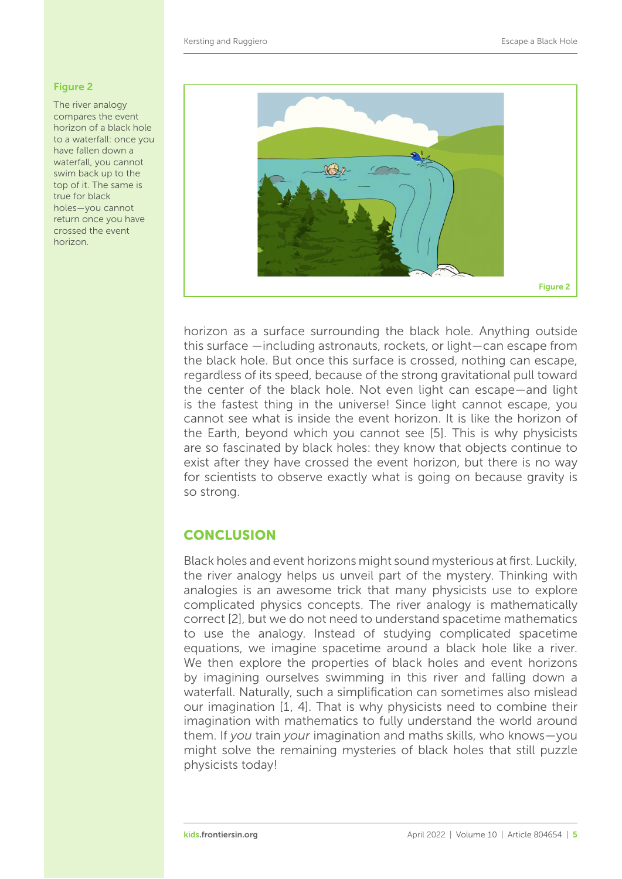#### <span id="page-4-0"></span>Figure 2

The river analogy compares the event horizon of a black hole to a waterfall: once you have fallen down a waterfall, you cannot swim back up to the top of it. The same is true for black holes—you cannot return once you have crossed the event horizon.



horizon as a surface surrounding the black hole. Anything outside this surface —including astronauts, rockets, or light—can escape from the black hole. But once this surface is crossed, nothing can escape, regardless of its speed, because of the strong gravitational pull toward the center of the black hole. Not even light can escape—and light is the fastest thing in the universe! Since light cannot escape, you cannot see what is inside the event horizon. It is like the horizon of the Earth, beyond which you cannot see [\[5\]](#page-5-3). This is why physicists are so fascinated by black holes: they know that objects continue to exist after they have crossed the event horizon, but there is no way for scientists to observe exactly what is going on because gravity is so strong.

# **CONCLUSION**

Black holes and event horizons might sound mysterious at first. Luckily, the river analogy helps us unveil part of the mystery. Thinking with analogies is an awesome trick that many physicists use to explore complicated physics concepts. The river analogy is mathematically correct [\[2\]](#page-5-1), but we do not need to understand spacetime mathematics to use the analogy. Instead of studying complicated spacetime equations, we imagine spacetime around a black hole like a river. We then explore the properties of black holes and event horizons by imagining ourselves swimming in this river and falling down a waterfall. Naturally, such a simplification can sometimes also mislead our imagination [\[1,](#page-5-0) [4\]](#page-5-2). That is why physicists need to combine their imagination with mathematics to fully understand the world around them. If *you* train *your* imagination and maths skills, who knows—you might solve the remaining mysteries of black holes that still puzzle physicists today!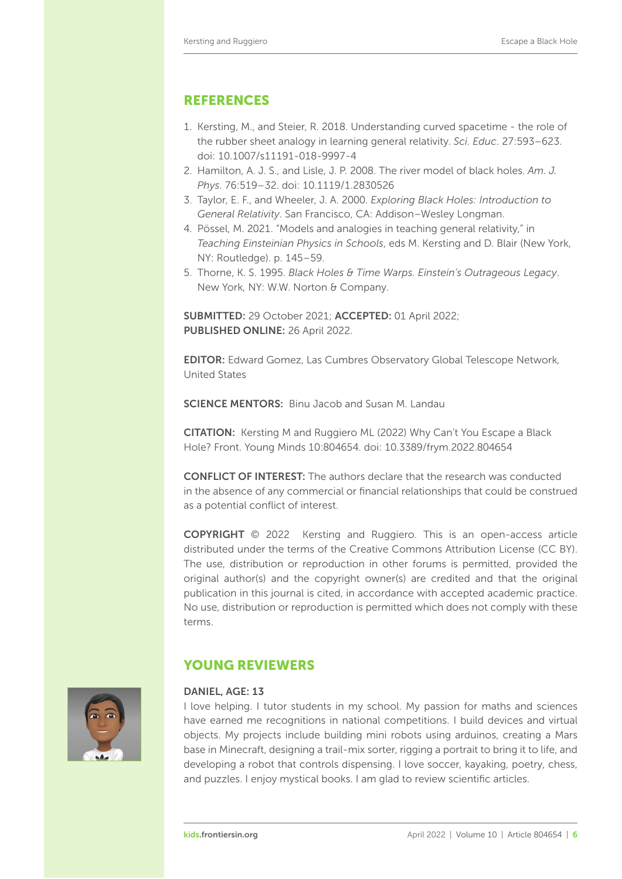# REFERENCES

- <span id="page-5-0"></span>1. Kersting, M., and Steier, R. 2018. Understanding curved spacetime - the role of the rubber sheet analogy in learning general relativity. *Sci. Educ*. 27:593–623. doi: [10.1007/s11191-018-9997-4](https://doi.org/10.1007/s11191-018-9997-4)
- <span id="page-5-1"></span>2. Hamilton, A. J. S., and Lisle, J. P. 2008. The river model of black holes. *Am. J. Phys*. 76:519–32. doi: [10.1119/1.2830526](https://doi.org/10.1119/1.2830526)
- 3. Taylor, E. F., and Wheeler, J. A. 2000. *Exploring Black Holes: Introduction to General Relativity*. San Francisco, CA: Addison–Wesley Longman.
- <span id="page-5-2"></span>4. Pössel, M. 2021. "Models and analogies in teaching general relativity," in *Teaching Einsteinian Physics in Schools*, eds M. Kersting and D. Blair (New York, NY: Routledge). p. 145–59.
- <span id="page-5-3"></span>5. Thorne, K. S. 1995. *Black Holes & Time Warps. Einstein's Outrageous Legacy*. New York, NY: W.W. Norton & Company.

SUBMITTED: 29 October 2021; ACCEPTED: 01 April 2022; PUBLISHED ONLINE: 26 April 2022.

EDITOR: [Edward Gomez,](https://loop.frontiersin.org/people/520035) Las Cumbres Observatory Global Telescope Network, United States

SCIENCE MENTORS: [Binu Jacob](https://loop.frontiersin.org/people/385326) and [Susan M. Landau](https://loop.frontiersin.org/people/)

CITATION: Kersting M and Ruggiero ML (2022) Why Can't You Escape a Black Hole? Front. Young Minds 10:804654. doi: [10.3389/frym.2022.804654](https://doi.org/10.3389/frym.2022.804654)

CONFLICT OF INTEREST: The authors declare that the research was conducted in the absence of any commercial or financial relationships that could be construed as a potential conflict of interest.

COPYRIGHT © 2022 Kersting and Ruggiero. This is an open-access article distributed under the terms of the [Creative Commons Attribution License \(CC BY\).](https://creativecommons.org/licenses/by/4.0/) The use, distribution or reproduction in other forums is permitted, provided the original author(s) and the copyright owner(s) are credited and that the original publication in this journal is cited, in accordance with accepted academic practice. No use, distribution or reproduction is permitted which does not comply with these terms.



# YOUNG REVIEWERS

#### DANIEL, AGE: 13

I love helping. I tutor students in my school. My passion for maths and sciences have earned me recognitions in national competitions. I build devices and virtual objects. My projects include building mini robots using arduinos, creating a Mars base in Minecraft, designing a trail-mix sorter, rigging a portrait to bring it to life, and developing a robot that controls dispensing. I love soccer, kayaking, poetry, chess, and puzzles. I enjoy mystical books. I am glad to review scientific articles.